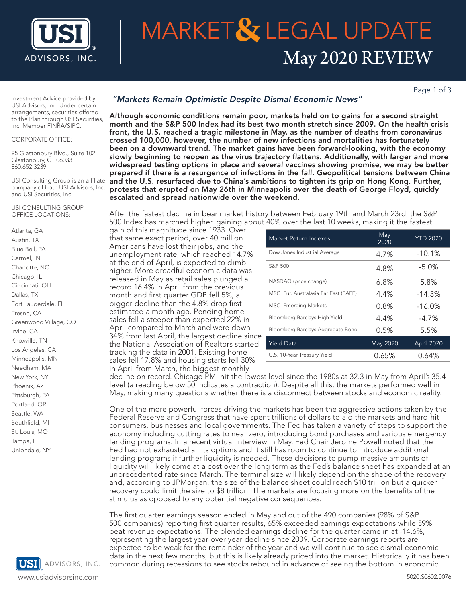

# ADVISORS, INC.  $\parallel$  May 2020 REVIEW **MARKET& LEGAL UPDATE**

Page 1 of 3

Investment Advice provided by USI Advisors, Inc. Under certain arrangements, securities offered to the Plan through USI Securities, Inc. Member FINRA/SIPC.

#### CORPORATE OFFICE:

95 Glastonbury Blvd., Suite 102 Glastonbury, CT 06033 860.652.3239

USI Consulting Group is an affiliate company of both USI Advisors, Inc. and USI Securities, Inc.

#### USI CONSULTING GROUP OFFICE LOCATIONS:

Atlanta, GA Austin, TX Blue Bell, PA Carmel, IN Charlotte, NC Chicago, IL Cincinnati, OH Dallas, TX Fort Lauderdale, FL Fresno, CA Greenwood Village, CO Irvine, CA Knoxville, TN Los Angeles, CA Minneapolis, MN Needham, MA New York, NY Phoenix, AZ Pittsburgh, PA Portland, OR Seattle, WA Southfield, MI St. Louis, MO Tampa, FL Uniondale, NY



#### "Markets Remain Optimistic Despite Dismal Economic News"

Although economic conditions remain poor, markets held on to gains for a second straight month and the S&P 500 Index had its best two month stretch since 2009. On the health crisis front, the U.S. reached a tragic milestone in May, as the number of deaths from coronavirus crossed 100,000, however, the number of new infections and mortalities has fortunately been on a downward trend. The market gains have been forward-looking, with the economy slowly beginning to reopen as the virus trajectory flattens. Additionally, with larger and more widespread testing options in place and several vaccines showing promise, we may be better prepared if there is a resurgence of infections in the fall. Geopolitical tensions between China and the U.S. resurfaced due to China's ambitions to tighten its grip on Hong Kong. Further, protests that erupted on May 26th in Minneapolis over the death of George Floyd, quickly escalated and spread nationwide over the weekend.

After the fastest decline in bear market history between February 19th and March 23rd, the S&P 500 Index has marched higher, gaining about 40% over the last 10 weeks, making it the fastest

gain of this magnitude since 1933. Over that same exact period, over 40 million Americans have lost their jobs, and the unemployment rate, which reached 14.7% at the end of April, is expected to climb higher. More dreadful economic data was released in May as retail sales plunged a record 16.4% in April from the previous month and first quarter GDP fell 5%, a bigger decline than the 4.8% drop first estimated a month ago. Pending home sales fell a steeper than expected 22% in April compared to March and were down 34% from last April, the largest decline since the National Association of Realtors started tracking the data in 2001. Existing home sales fell 17.8% and housing starts fell 30% in April from March, the biggest monthly

| Market Return Indexes                 | May<br>2020 | <b>YTD 2020</b> |
|---------------------------------------|-------------|-----------------|
| Dow Jones Industrial Average          | 4.7%        | $-10.1%$        |
| S&P 500                               | 4.8%        | $-5.0%$         |
| NASDAQ (price change)                 | 6.8%        | 5.8%            |
| MSCI Eur. Australasia Far East (EAFE) | 4.4%        | $-14.3%$        |
| <b>MSCI Emerging Markets</b>          | 0.8%        | $-16.0\%$       |
| Bloomberg Barclays High Yield         | 4.4%        | $-4.7%$         |
| Bloomberg Barclays Aggregate Bond     | 0.5%        | 5.5%            |
| <b>Yield Data</b>                     | May 2020    | April 2020      |
| U.S. 10-Year Treasury Yield           | 0.65%       | 0.64%           |

decline on record. Chicago PMI hit the lowest level since the 1980s at 32.3 in May from April's 35.4 level (a reading below 50 indicates a contraction). Despite all this, the markets performed well in May, making many questions whether there is a disconnect between stocks and economic reality.

One of the more powerful forces driving the markets has been the aggressive actions taken by the Federal Reserve and Congress that have spent trillions of dollars to aid the markets and hard-hit consumers, businesses and local governments. The Fed has taken a variety of steps to support the economy including cutting rates to near zero, introducing bond purchases and various emergency lending programs. In a recent virtual interview in May, Fed Chair Jerome Powell noted that the Fed had not exhausted all its options and it still has room to continue to introduce additional lending programs if further liquidity is needed. These decisions to pump massive amounts of liquidity will likely come at a cost over the long term as the Fed's balance sheet has expanded at an unprecedented rate since March. The terminal size will likely depend on the shape of the recovery and, according to JPMorgan, the size of the balance sheet could reach \$10 trillion but a quicker recovery could limit the size to \$8 trillion. The markets are focusing more on the benefits of the stimulus as opposed to any potential negative consequences.

The first quarter earnings season ended in May and out of the 490 companies (98% of S&P 500 companies) reporting first quarter results, 65% exceeded earnings expectations while 59% beat revenue expectations. The blended earnings decline for the quarter came in at -14.6%, representing the largest year-over-year decline since 2009. Corporate earnings reports are expected to be weak for the remainder of the year and we will continue to see dismal economic data in the next few months, but this is likely already priced into the market. Historically it has been ADVISORS, INC. common during recessions to see stocks rebound in advance of seeing the bottom in economic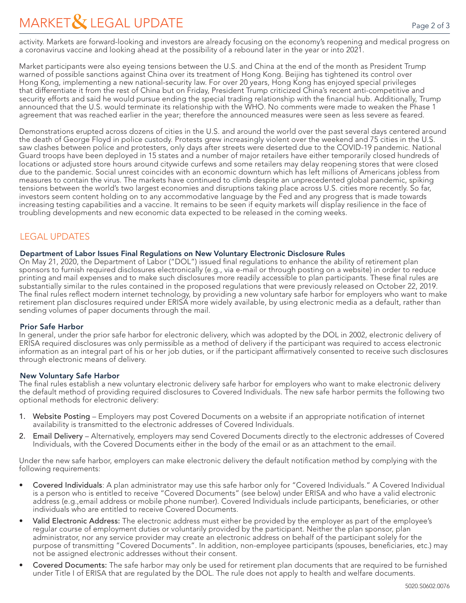activity. Markets are forward-looking and investors are already focusing on the economy's reopening and medical progress on a coronavirus vaccine and looking ahead at the possibility of a rebound later in the year or into 2021.

Market participants were also eyeing tensions between the U.S. and China at the end of the month as President Trump warned of possible sanctions against China over its treatment of Hong Kong. Beijing has tightened its control over Hong Kong, implementing a new national-security law. For over 20 years, Hong Kong has enjoyed special privileges that differentiate it from the rest of China but on Friday, President Trump criticized China's recent anti-competitive and security efforts and said he would pursue ending the special trading relationship with the financial hub. Additionally, Trump announced that the U.S. would terminate its relationship with the WHO. No comments were made to weaken the Phase 1 agreement that was reached earlier in the year; therefore the announced measures were seen as less severe as feared.

Demonstrations erupted across dozens of cities in the U.S. and around the world over the past several days centered around the death of George Floyd in police custody. Protests grew increasingly violent over the weekend and 75 cities in the U.S. saw clashes between police and protesters, only days after streets were deserted due to the COVID-19 pandemic. National Guard troops have been deployed in 15 states and a number of major retailers have either temporarily closed hundreds of locations or adjusted store hours around citywide curfews and some retailers may delay reopening stores that were closed due to the pandemic. Social unrest coincides with an economic downturn which has left millions of Americans jobless from measures to contain the virus. The markets have continued to climb despite an unprecedented global pandemic, spiking tensions between the world's two largest economies and disruptions taking place across U.S. cities more recently. So far, investors seem content holding on to any accommodative language by the Fed and any progress that is made towards increasing testing capabilities and a vaccine. It remains to be seen if equity markets will display resilience in the face of troubling developments and new economic data expected to be released in the coming weeks.

## LEGAL UPDATES

#### Department of Labor Issues Final Regulations on New Voluntary Electronic Disclosure Rules

On May 21, 2020, the Department of Labor ("DOL") issued final regulations to enhance the ability of retirement plan sponsors to furnish required disclosures electronically (e.g., via e-mail or through posting on a website) in order to reduce printing and mail expenses and to make such disclosures more readily accessible to plan participants. These final rules are substantially similar to the rules contained in the proposed regulations that were previously released on October 22, 2019. The final rules reflect modern internet technology, by providing a new voluntary safe harbor for employers who want to make retirement plan disclosures required under ERISA more widely available, by using electronic media as a default, rather than sending volumes of paper documents through the mail.

### Prior Safe Harbor

In general, under the prior safe harbor for electronic delivery, which was adopted by the DOL in 2002, electronic delivery of ERISA required disclosures was only permissible as a method of delivery if the participant was required to access electronic information as an integral part of his or her job duties, or if the participant affirmatively consented to receive such disclosures through electronic means of delivery.

#### New Voluntary Safe Harbor

The final rules establish a new voluntary electronic delivery safe harbor for employers who want to make electronic delivery the default method of providing required disclosures to Covered Individuals. The new safe harbor permits the following two optional methods for electronic delivery:

- 1. Website Posting Employers may post Covered Documents on a website if an appropriate notification of internet availability is transmitted to the electronic addresses of Covered Individuals.
- 2. Email Delivery Alternatively, employers may send Covered Documents directly to the electronic addresses of Covered Individuals, with the Covered Documents either in the body of the email or as an attachment to the email.

Under the new safe harbor, employers can make electronic delivery the default notification method by complying with the following requirements:

- Covered Individuals: A plan administrator may use this safe harbor only for "Covered Individuals." A Covered Individual is a person who is entitled to receive "Covered Documents" (see below) under ERISA and who have a valid electronic address (e.g.,email address or mobile phone number). Covered Individuals include participants, beneficiaries, or other individuals who are entitled to receive Covered Documents.
- Valid Electronic Address: The electronic address must either be provided by the employer as part of the employee's regular course of employment duties or voluntarily provided by the participant. Neither the plan sponsor, plan administrator, nor any service provider may create an electronic address on behalf of the participant solely for the purpose of transmitting "Covered Documents". In addition, non-employee participants (spouses, beneficiaries, etc.) may not be assigned electronic addresses without their consent.
- Covered Documents: The safe harbor may only be used for retirement plan documents that are required to be furnished under Title I of ERISA that are regulated by the DOL. The rule does not apply to health and welfare documents.